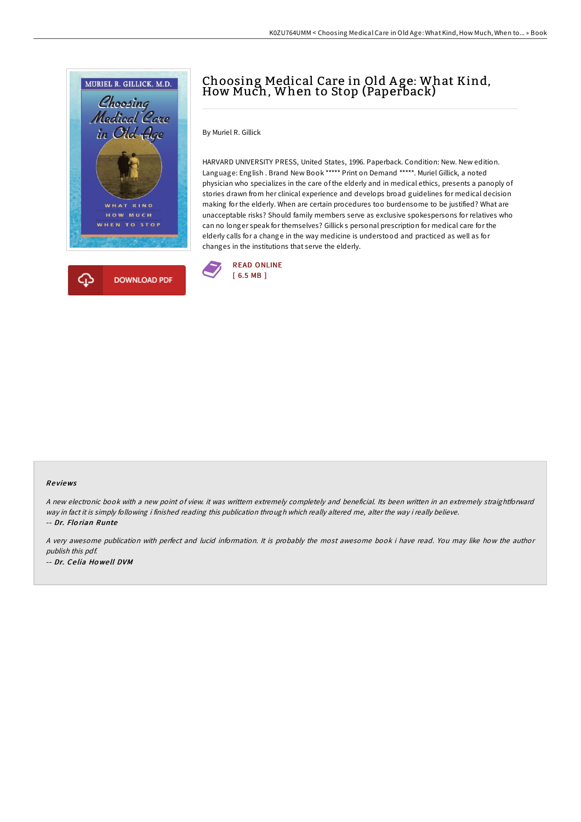

## Choosing Medical Care in Old <sup>A</sup> ge: What Kind, How Much, When to Stop (Paperback)

By Muriel R. Gillick

HARVARD UNIVERSITY PRESS, United States, 1996. Paperback. Condition: New. New edition. Language: English . Brand New Book \*\*\*\*\* Print on Demand \*\*\*\*\*. Muriel Gillick, a noted physician who specializes in the care of the elderly and in medical ethics, presents a panoply of stories drawn from her clinical experience and develops broad guidelines for medical decision making for the elderly. When are certain procedures too burdensome to be justified? What are unacceptable risks? Should family members serve as exclusive spokespersons for relatives who can no longer speak for themselves? Gillick s personal prescription for medical care for the elderly calls for a change in the way medicine is understood and practiced as well as for changes in the institutions that serve the elderly.



## Re views

<sup>A</sup> new electronic book with <sup>a</sup> new point of view. it was writtern extremely completely and beneficial. Its been written in an extremely straightforward way in fact it is simply following i finished reading this publication through which really altered me, alter the way i really believe. -- Dr. Flo rian Runte

A very awesome publication with perfect and lucid information. It is probably the most awesome book i have read. You may like how the author publish this pdf. -- Dr. Ce lia Ho we ll DVM